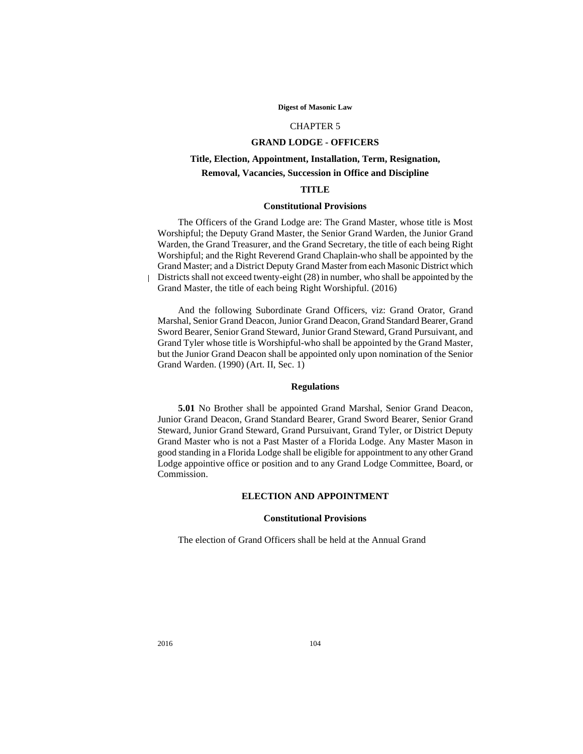#### **Digest of Masonic Law**

# CHAPTER 5

# **GRAND LODGE - OFFICERS**

# **Title, Election, Appointment, Installation, Term, Resignation, Removal, Vacancies, Succession in Office and Discipline**

# **TITLE**

## **Constitutional Provisions**

The Officers of the Grand Lodge are: The Grand Master, whose title is Most Worshipful; the Deputy Grand Master, the Senior Grand Warden, the Junior Grand Warden, the Grand Treasurer, and the Grand Secretary, the title of each being Right Worshipful; and the Right Reverend Grand Chaplain-who shall be appointed by the Grand Master; and a District Deputy Grand Master from each Masonic District which Districts shall not exceed twenty-eight (28) in number, who shall be appointed by the Grand Master, the title of each being Right Worshipful. (2016)

And the following Subordinate Grand Officers, viz: Grand Orator, Grand Marshal, Senior Grand Deacon, Junior Grand Deacon, Grand Standard Bearer, Grand Sword Bearer, Senior Grand Steward, Junior Grand Steward, Grand Pursuivant, and Grand Tyler whose title is Worshipful-who shall be appointed by the Grand Master, but the Junior Grand Deacon shall be appointed only upon nomination of the Senior Grand Warden. (1990) (Art. II, Sec. 1)

## **Regulations**

**5.01** No Brother shall be appointed Grand Marshal, Senior Grand Deacon, Junior Grand Deacon, Grand Standard Bearer, Grand Sword Bearer, Senior Grand Steward, Junior Grand Steward, Grand Pursuivant, Grand Tyler, or District Deputy Grand Master who is not a Past Master of a Florida Lodge. Any Master Mason in good standing in a Florida Lodge shall be eligible for appointment to any other Grand Lodge appointive office or position and to any Grand Lodge Committee, Board, or Commission.

# **ELECTION AND APPOINTMENT**

# **Constitutional Provisions**

The election of Grand Officers shall be held at the Annual Grand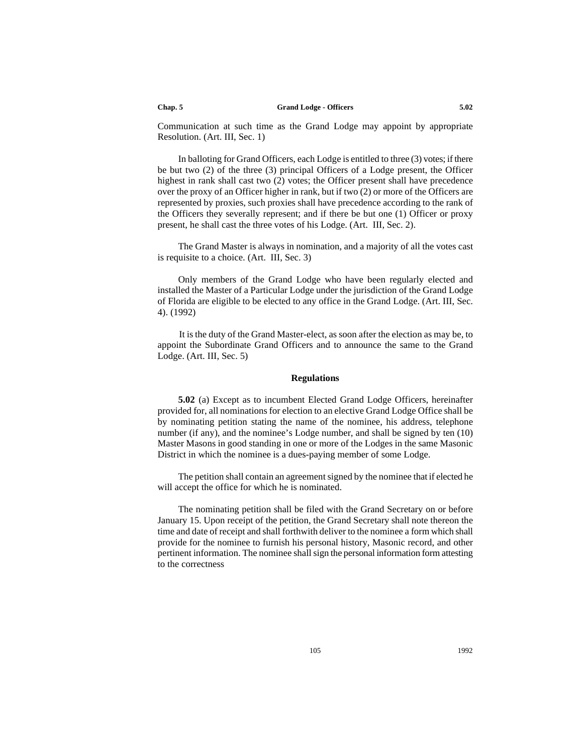Communication at such time as the Grand Lodge may appoint by appropriate Resolution. (Art. III, Sec. 1)

In balloting for Grand Officers, each Lodge is entitled to three (3) votes; if there be but two (2) of the three (3) principal Officers of a Lodge present, the Officer highest in rank shall cast two (2) votes; the Officer present shall have precedence over the proxy of an Officer higher in rank, but if two (2) or more of the Officers are represented by proxies, such proxies shall have precedence according to the rank of the Officers they severally represent; and if there be but one (1) Officer or proxy present, he shall cast the three votes of his Lodge. (Art. III, Sec. 2).

The Grand Master is always in nomination, and a majority of all the votes cast is requisite to a choice. (Art. III, Sec. 3)

Only members of the Grand Lodge who have been regularly elected and installed the Master of a Particular Lodge under the jurisdiction of the Grand Lodge of Florida are eligible to be elected to any office in the Grand Lodge. (Art. III, Sec. 4). (1992)

It is the duty of the Grand Master-elect, as soon after the election as may be, to appoint the Subordinate Grand Officers and to announce the same to the Grand Lodge. (Art. III, Sec. 5)

## **Regulations**

**5.02** (a) Except as to incumbent Elected Grand Lodge Officers, hereinafter provided for, all nominations for election to an elective Grand Lodge Office shall be by nominating petition stating the name of the nominee, his address, telephone number (if any), and the nominee's Lodge number, and shall be signed by ten (10) Master Masons in good standing in one or more of the Lodges in the same Masonic District in which the nominee is a dues-paying member of some Lodge.

The petition shall contain an agreement signed by the nominee that if elected he will accept the office for which he is nominated.

The nominating petition shall be filed with the Grand Secretary on or before January 15. Upon receipt of the petition, the Grand Secretary shall note thereon the time and date of receipt and shall forthwith deliver to the nominee a form which shall provide for the nominee to furnish his personal history, Masonic record, and other pertinent information. The nominee shall sign the personal information form attesting to the correctness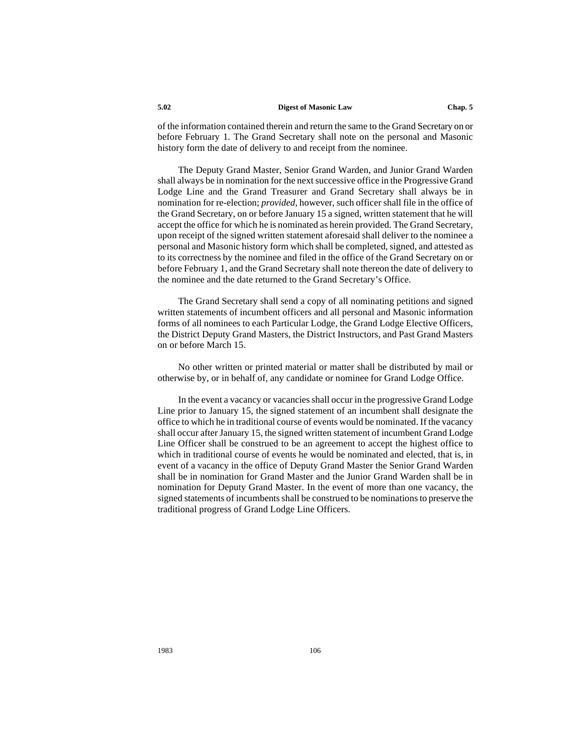#### **5.02 Digest of Masonic Law Chap. 5**

of the information contained therein and return the same to the Grand Secretary on or before February 1. The Grand Secretary shall note on the personal and Masonic history form the date of delivery to and receipt from the nominee.

The Deputy Grand Master, Senior Grand Warden, and Junior Grand Warden shall always be in nomination for the next successive office in the Progressive Grand Lodge Line and the Grand Treasurer and Grand Secretary shall always be in nomination for re-election; *provided*, however, such officer shall file in the office of the Grand Secretary, on or before January 15 a signed, written statement that he will accept the office for which he is nominated as herein provided. The Grand Secretary, upon receipt of the signed written statement aforesaid shall deliver to the nominee a personal and Masonic history form which shall be completed, signed, and attested as to its correctness by the nominee and filed in the office of the Grand Secretary on or before February 1, and the Grand Secretary shall note thereon the date of delivery to the nominee and the date returned to the Grand Secretary's Office.

The Grand Secretary shall send a copy of all nominating petitions and signed written statements of incumbent officers and all personal and Masonic information forms of all nominees to each Particular Lodge, the Grand Lodge Elective Officers, the District Deputy Grand Masters, the District Instructors, and Past Grand Masters on or before March 15.

No other written or printed material or matter shall be distributed by mail or otherwise by, or in behalf of, any candidate or nominee for Grand Lodge Office.

In the event a vacancy or vacancies shall occur in the progressive Grand Lodge Line prior to January 15, the signed statement of an incumbent shall designate the office to which he in traditional course of events would be nominated. If the vacancy shall occur after January 15, the signed written statement of incumbent Grand Lodge Line Officer shall be construed to be an agreement to accept the highest office to which in traditional course of events he would be nominated and elected, that is, in event of a vacancy in the office of Deputy Grand Master the Senior Grand Warden shall be in nomination for Grand Master and the Junior Grand Warden shall be in nomination for Deputy Grand Master. In the event of more than one vacancy, the signed statements of incumbents shall be construed to be nominations to preserve the traditional progress of Grand Lodge Line Officers.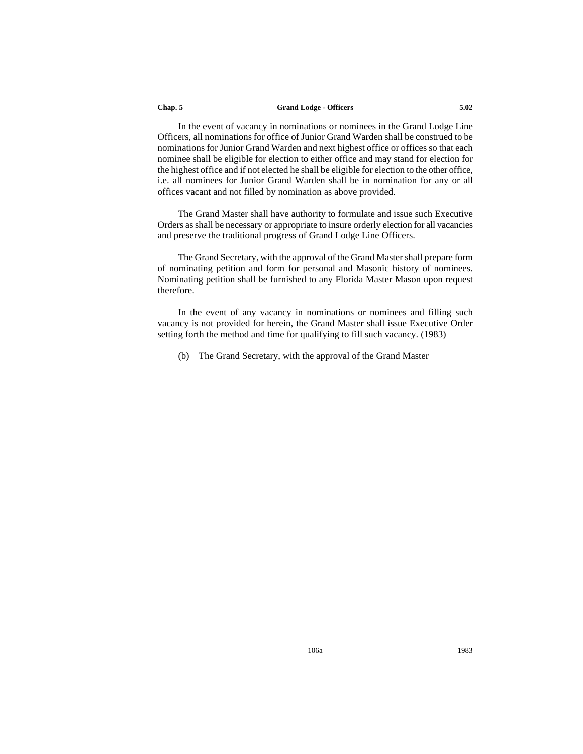In the event of vacancy in nominations or nominees in the Grand Lodge Line Officers, all nominations for office of Junior Grand Warden shall be construed to be nominations for Junior Grand Warden and next highest office or offices so that each nominee shall be eligible for election to either office and may stand for election for the highest office and if not elected he shall be eligible for election to the other office, i.e. all nominees for Junior Grand Warden shall be in nomination for any or all offices vacant and not filled by nomination as above provided.

The Grand Master shall have authority to formulate and issue such Executive Orders as shall be necessary or appropriate to insure orderly election for all vacancies and preserve the traditional progress of Grand Lodge Line Officers.

The Grand Secretary, with the approval of the Grand Master shall prepare form of nominating petition and form for personal and Masonic history of nominees. Nominating petition shall be furnished to any Florida Master Mason upon request therefore.

In the event of any vacancy in nominations or nominees and filling such vacancy is not provided for herein, the Grand Master shall issue Executive Order setting forth the method and time for qualifying to fill such vacancy. (1983)

(b) The Grand Secretary, with the approval of the Grand Master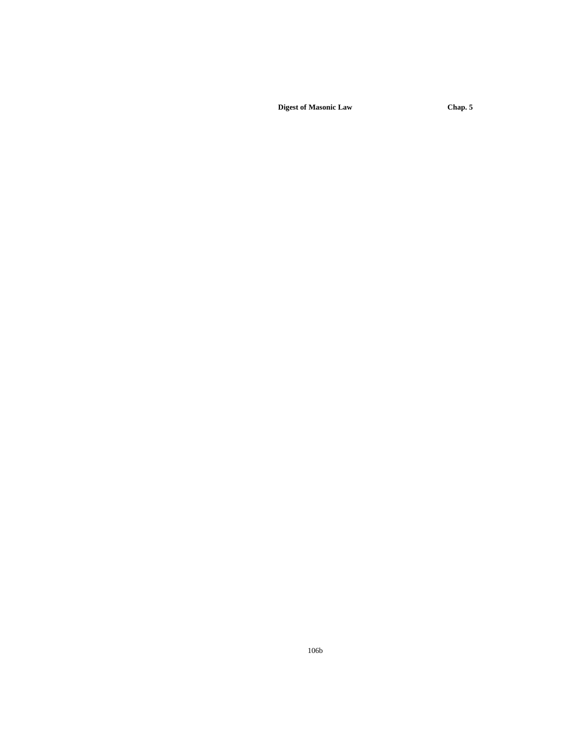**Digest of Masonic Law Chap. 5**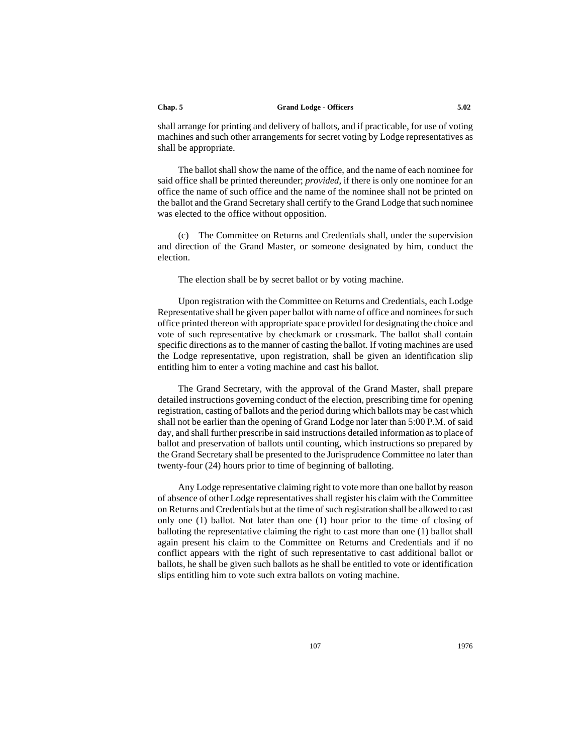shall arrange for printing and delivery of ballots, and if practicable, for use of voting machines and such other arrangements for secret voting by Lodge representatives as shall be appropriate.

The ballot shall show the name of the office, and the name of each nominee for said office shall be printed thereunder; *provided*, if there is only one nominee for an office the name of such office and the name of the nominee shall not be printed on the ballot and the Grand Secretary shall certify to the Grand Lodge that such nominee was elected to the office without opposition.

(c) The Committee on Returns and Credentials shall, under the supervision and direction of the Grand Master, or someone designated by him, conduct the election.

The election shall be by secret ballot or by voting machine.

Upon registration with the Committee on Returns and Credentials, each Lodge Representative shall be given paper ballot with name of office and nominees for such office printed thereon with appropriate space provided for designating the choice and vote of such representative by checkmark or crossmark. The ballot shall contain specific directions as to the manner of casting the ballot. If voting machines are used the Lodge representative, upon registration, shall be given an identification slip entitling him to enter a voting machine and cast his ballot.

The Grand Secretary, with the approval of the Grand Master, shall prepare detailed instructions governing conduct of the election, prescribing time for opening registration, casting of ballots and the period during which ballots may be cast which shall not be earlier than the opening of Grand Lodge nor later than 5:00 P.M. of said day, and shall further prescribe in said instructions detailed information as to place of ballot and preservation of ballots until counting, which instructions so prepared by the Grand Secretary shall be presented to the Jurisprudence Committee no later than twenty-four (24) hours prior to time of beginning of balloting.

Any Lodge representative claiming right to vote more than one ballot by reason of absence of other Lodge representatives shall register his claim with the Committee on Returns and Credentials but at the time of such registration shall be allowed to cast only one (1) ballot. Not later than one (1) hour prior to the time of closing of balloting the representative claiming the right to cast more than one (1) ballot shall again present his claim to the Committee on Returns and Credentials and if no conflict appears with the right of such representative to cast additional ballot or ballots, he shall be given such ballots as he shall be entitled to vote or identification slips entitling him to vote such extra ballots on voting machine.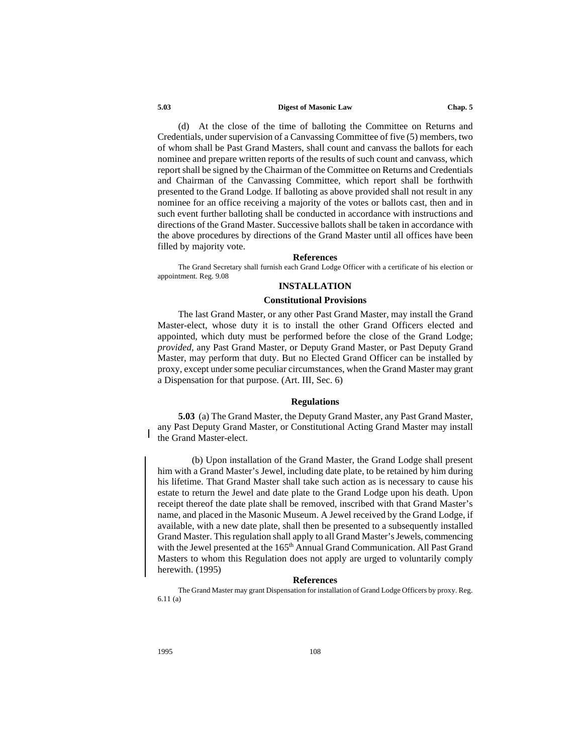#### **5.03 Digest of Masonic Law Chap. 5**

(d) At the close of the time of balloting the Committee on Returns and Credentials, under supervision of a Canvassing Committee of five (5) members, two of whom shall be Past Grand Masters, shall count and canvass the ballots for each nominee and prepare written reports of the results of such count and canvass, which report shall be signed by the Chairman of the Committee on Returns and Credentials and Chairman of the Canvassing Committee, which report shall be forthwith presented to the Grand Lodge. If balloting as above provided shall not result in any nominee for an office receiving a majority of the votes or ballots cast, then and in such event further balloting shall be conducted in accordance with instructions and directions of the Grand Master. Successive ballots shall be taken in accordance with the above procedures by directions of the Grand Master until all offices have been filled by majority vote.

#### **References**

The Grand Secretary shall furnish each Grand Lodge Officer with a certificate of his election or appointment. Reg. 9.08

# **INSTALLATION**

# **Constitutional Provisions**

The last Grand Master, or any other Past Grand Master, may install the Grand Master-elect, whose duty it is to install the other Grand Officers elected and appointed, which duty must be performed before the close of the Grand Lodge; *provided,* any Past Grand Master, or Deputy Grand Master, or Past Deputy Grand Master, may perform that duty. But no Elected Grand Officer can be installed by proxy, except under some peculiar circumstances, when the Grand Master may grant a Dispensation for that purpose. (Art. III, Sec. 6)

## **Regulations**

**5.03** (a) The Grand Master, the Deputy Grand Master, any Past Grand Master, any Past Deputy Grand Master, or Constitutional Acting Grand Master may install the Grand Master-elect.

(b) Upon installation of the Grand Master, the Grand Lodge shall present him with a Grand Master's Jewel, including date plate, to be retained by him during his lifetime. That Grand Master shall take such action as is necessary to cause his estate to return the Jewel and date plate to the Grand Lodge upon his death. Upon receipt thereof the date plate shall be removed, inscribed with that Grand Master's name, and placed in the Masonic Museum. A Jewel received by the Grand Lodge, if available, with a new date plate, shall then be presented to a subsequently installed Grand Master. This regulation shall apply to all Grand Master's Jewels, commencing with the Jewel presented at the 165<sup>th</sup> Annual Grand Communication. All Past Grand Masters to whom this Regulation does not apply are urged to voluntarily comply herewith. (1995)

#### **References**

The Grand Master may grant Dispensation for installation of Grand Lodge Officers by proxy. Reg. 6.11 (a)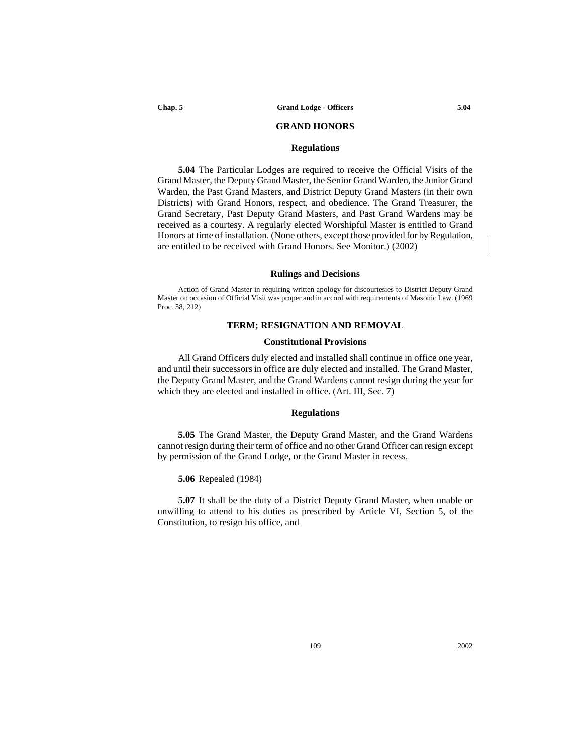# **GRAND HONORS**

# **Regulations**

**5.04** The Particular Lodges are required to receive the Official Visits of the Grand Master, the Deputy Grand Master, the Senior Grand Warden, the Junior Grand Warden, the Past Grand Masters, and District Deputy Grand Masters (in their own Districts) with Grand Honors, respect, and obedience. The Grand Treasurer, the Grand Secretary, Past Deputy Grand Masters, and Past Grand Wardens may be received as a courtesy. A regularly elected Worshipful Master is entitled to Grand Honors at time of installation. (None others, except those provided for by Regulation, are entitled to be received with Grand Honors. See Monitor.) (2002)

### **Rulings and Decisions**

Action of Grand Master in requiring written apology for discourtesies to District Deputy Grand Master on occasion of Official Visit was proper and in accord with requirements of Masonic Law. (1969 Proc. 58, 212)

# **TERM; RESIGNATION AND REMOVAL**

# **Constitutional Provisions**

All Grand Officers duly elected and installed shall continue in office one year, and until their successors in office are duly elected and installed. The Grand Master, the Deputy Grand Master, and the Grand Wardens cannot resign during the year for which they are elected and installed in office. (Art. III, Sec. 7)

## **Regulations**

**5.05** The Grand Master, the Deputy Grand Master, and the Grand Wardens cannot resign during their term of office and no other Grand Officer can resign except by permission of the Grand Lodge, or the Grand Master in recess.

**5.06** Repealed (1984)

**5.07** It shall be the duty of a District Deputy Grand Master, when unable or unwilling to attend to his duties as prescribed by Article VI, Section 5, of the Constitution, to resign his office, and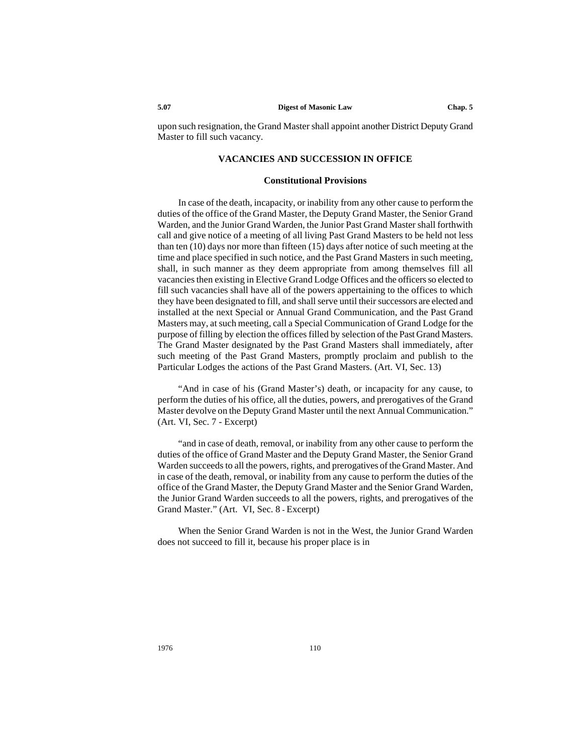upon such resignation, the Grand Master shall appoint another District Deputy Grand Master to fill such vacancy.

# **VACANCIES AND SUCCESSION IN OFFICE**

# **Constitutional Provisions**

In case of the death, incapacity, or inability from any other cause to perform the duties of the office of the Grand Master, the Deputy Grand Master, the Senior Grand Warden, and the Junior Grand Warden, the Junior Past Grand Master shall forthwith call and give notice of a meeting of all living Past Grand Masters to be held not less than ten (10) days nor more than fifteen (15) days after notice of such meeting at the time and place specified in such notice, and the Past Grand Masters in such meeting, shall, in such manner as they deem appropriate from among themselves fill all vacancies then existing in Elective Grand Lodge Offices and the officers so elected to fill such vacancies shall have all of the powers appertaining to the offices to which they have been designated to fill, and shall serve until their successors are elected and installed at the next Special or Annual Grand Communication, and the Past Grand Masters may, at such meeting, call a Special Communication of Grand Lodge for the purpose of filling by election the offices filled by selection of the Past Grand Masters. The Grand Master designated by the Past Grand Masters shall immediately, after such meeting of the Past Grand Masters, promptly proclaim and publish to the Particular Lodges the actions of the Past Grand Masters. (Art. VI, Sec. 13)

"And in case of his (Grand Master's) death, or incapacity for any cause, to perform the duties of his office, all the duties, powers, and prerogatives of the Grand Master devolve on the Deputy Grand Master until the next Annual Communication." (Art. VI, Sec. 7 - Excerpt)

"and in case of death, removal, or inability from any other cause to perform the duties of the office of Grand Master and the Deputy Grand Master, the Senior Grand Warden succeeds to all the powers, rights, and prerogatives of the Grand Master. And in case of the death, removal, or inability from any cause to perform the duties of the office of the Grand Master, the Deputy Grand Master and the Senior Grand Warden, the Junior Grand Warden succeeds to all the powers, rights, and prerogatives of the Grand Master." (Art. VI, Sec. 8 **-** Excerpt)

When the Senior Grand Warden is not in the West, the Junior Grand Warden does not succeed to fill it, because his proper place is in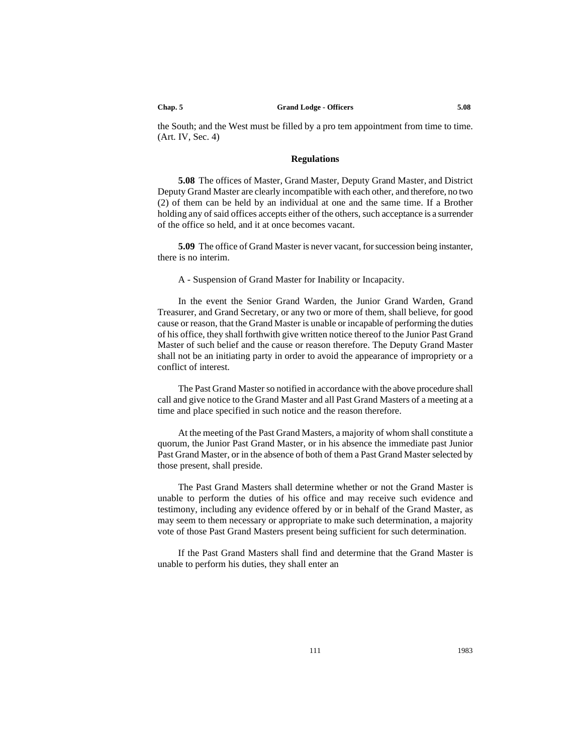the South; and the West must be filled by a pro tem appointment from time to time. (Art. IV, Sec. 4)

### **Regulations**

**5.08** The offices of Master, Grand Master, Deputy Grand Master, and District Deputy Grand Master are clearly incompatible with each other, and therefore, no two (2) of them can be held by an individual at one and the same time. If a Brother holding any of said offices accepts either of the others, such acceptance is a surrender of the office so held, and it at once becomes vacant.

**5.09** The office of Grand Master is never vacant, for succession being instanter, there is no interim.

A - Suspension of Grand Master for Inability or Incapacity.

In the event the Senior Grand Warden, the Junior Grand Warden, Grand Treasurer, and Grand Secretary, or any two or more of them, shall believe, for good cause or reason, that the Grand Master is unable or incapable of performing the duties of his office, they shall forthwith give written notice thereof to the Junior Past Grand Master of such belief and the cause or reason therefore. The Deputy Grand Master shall not be an initiating party in order to avoid the appearance of impropriety or a conflict of interest.

The Past Grand Master so notified in accordance with the above procedure shall call and give notice to the Grand Master and all Past Grand Masters of a meeting at a time and place specified in such notice and the reason therefore.

At the meeting of the Past Grand Masters, a majority of whom shall constitute a quorum, the Junior Past Grand Master, or in his absence the immediate past Junior Past Grand Master, or in the absence of both of them a Past Grand Master selected by those present, shall preside.

The Past Grand Masters shall determine whether or not the Grand Master is unable to perform the duties of his office and may receive such evidence and testimony, including any evidence offered by or in behalf of the Grand Master, as may seem to them necessary or appropriate to make such determination, a majority vote of those Past Grand Masters present being sufficient for such determination.

If the Past Grand Masters shall find and determine that the Grand Master is unable to perform his duties, they shall enter an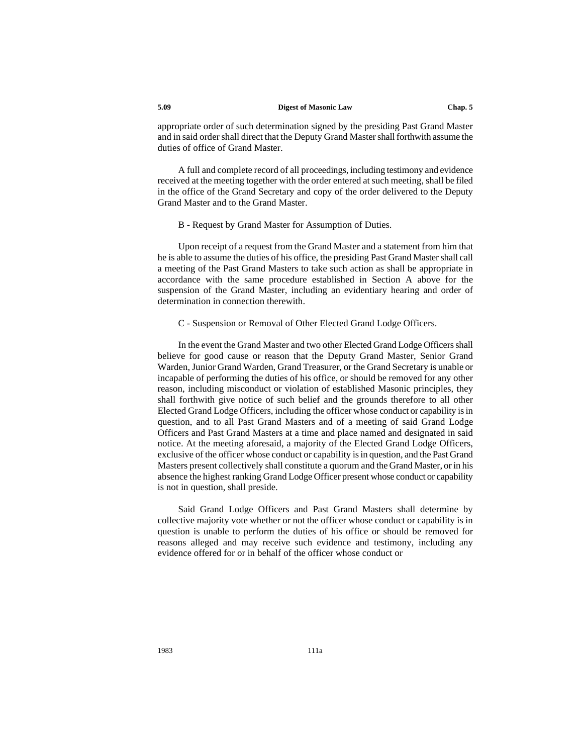#### **5.09 Digest of Masonic Law Chap. 5**

appropriate order of such determination signed by the presiding Past Grand Master and in said order shall direct that the Deputy Grand Master shall forthwith assume the duties of office of Grand Master.

A full and complete record of all proceedings, including testimony and evidence received at the meeting together with the order entered at such meeting, shall be filed in the office of the Grand Secretary and copy of the order delivered to the Deputy Grand Master and to the Grand Master.

B - Request by Grand Master for Assumption of Duties.

Upon receipt of a request from the Grand Master and a statement from him that he is able to assume the duties of his office, the presiding Past Grand Mastershall call a meeting of the Past Grand Masters to take such action as shall be appropriate in accordance with the same procedure established in Section A above for the suspension of the Grand Master, including an evidentiary hearing and order of determination in connection therewith.

C - Suspension or Removal of Other Elected Grand Lodge Officers.

In the event the Grand Master and two other Elected Grand Lodge Officers shall believe for good cause or reason that the Deputy Grand Master, Senior Grand Warden, Junior Grand Warden, Grand Treasurer, or the Grand Secretary is unable or incapable of performing the duties of his office, or should be removed for any other reason, including misconduct or violation of established Masonic principles, they shall forthwith give notice of such belief and the grounds therefore to all other Elected Grand Lodge Officers, including the officer whose conduct or capability is in question, and to all Past Grand Masters and of a meeting of said Grand Lodge Officers and Past Grand Masters at a time and place named and designated in said notice. At the meeting aforesaid, a majority of the Elected Grand Lodge Officers, exclusive of the officer whose conduct or capability is in question, and the Past Grand Masters present collectively shall constitute a quorum and the Grand Master, or in his absence the highest ranking Grand Lodge Officer present whose conduct or capability is not in question, shall preside.

Said Grand Lodge Officers and Past Grand Masters shall determine by collective majority vote whether or not the officer whose conduct or capability is in question is unable to perform the duties of his office or should be removed for reasons alleged and may receive such evidence and testimony, including any evidence offered for or in behalf of the officer whose conduct or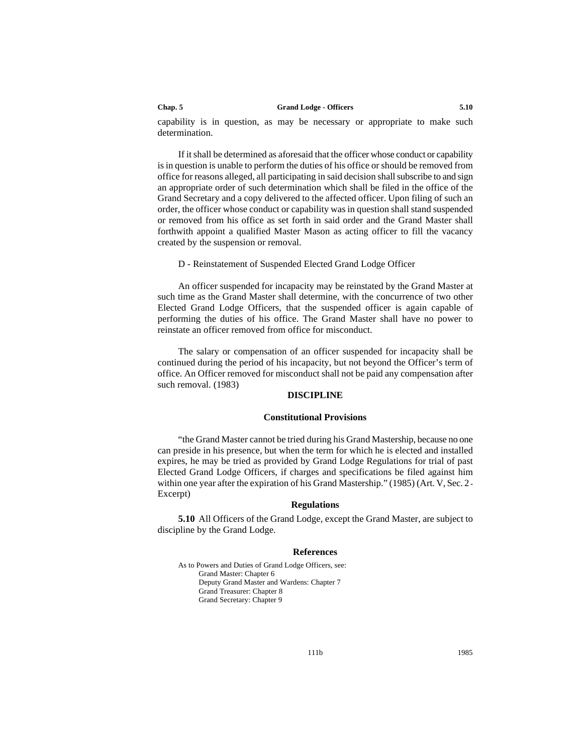capability is in question, as may be necessary or appropriate to make such determination.

If it shall be determined as aforesaid that the officer whose conduct or capability is in question is unable to perform the duties of his office or should be removed from office for reasons alleged, all participating in said decision shall subscribe to and sign an appropriate order of such determination which shall be filed in the office of the Grand Secretary and a copy delivered to the affected officer. Upon filing of such an order, the officer whose conduct or capability was in question shall stand suspended or removed from his office as set forth in said order and the Grand Master shall forthwith appoint a qualified Master Mason as acting officer to fill the vacancy created by the suspension or removal.

# D - Reinstatement of Suspended Elected Grand Lodge Officer

An officer suspended for incapacity may be reinstated by the Grand Master at such time as the Grand Master shall determine, with the concurrence of two other Elected Grand Lodge Officers, that the suspended officer is again capable of performing the duties of his office. The Grand Master shall have no power to reinstate an officer removed from office for misconduct.

The salary or compensation of an officer suspended for incapacity shall be continued during the period of his incapacity, but not beyond the Officer's term of office. An Officer removed for misconduct shall not be paid any compensation after such removal. (1983)

# **DISCIPLINE**

### **Constitutional Provisions**

"the Grand Master cannot be tried during his Grand Mastership, because no one can preside in his presence, but when the term for which he is elected and installed expires, he may be tried as provided by Grand Lodge Regulations for trial of past Elected Grand Lodge Officers, if charges and specifications be filed against him within one year after the expiration of his Grand Mastership." (1985) (Art. V, Sec. 2 **-** Excerpt)

## **Regulations**

**5.10** All Officers of the Grand Lodge, except the Grand Master, are subject to discipline by the Grand Lodge.

## **References**

As to Powers and Duties of Grand Lodge Officers, see: Grand Master: Chapter 6 Deputy Grand Master and Wardens: Chapter 7 Grand Treasurer: Chapter 8 Grand Secretary: Chapter 9